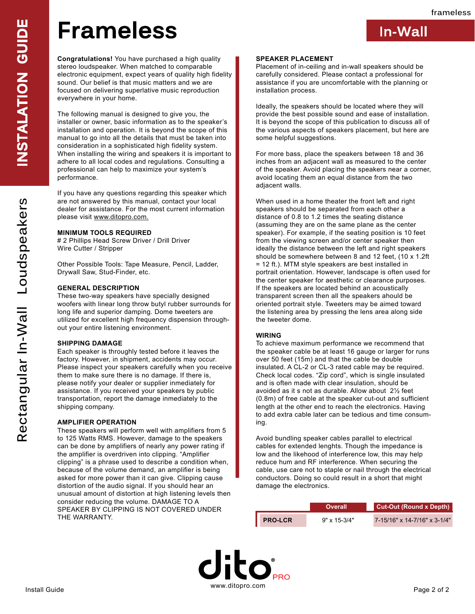**In-Wall**

## **Frameless**

**Congratulations!** You have purchased a high quality stereo loudspeaker. When matched to comparable electronic equipment, expect years of quality high fidelity sound. Our belief is that music matters and we are focused on delivering superlative music reproduction everywhere in your home.

The following manual is designed to give you, the installer or owner, basic information as to the speaker's installation and operation. It is beyond the scope of this manual to go into all the details that must be taken into consideration in a sophisticated high fidelity system. When installing the wiring and speakers it is important to adhere to all local codes and regulations. Consulting a professional can help to maximize your system's performance.

If you have any questions regarding this speaker which are not answered by this manual, contact your local dealer for assistance. For the most current information please visit www.ditopro.com.

### **MINIMUM TOOLS REQUIRED**

# 2 Phillips Head Screw Driver / Drill Driver Wire Cutter / Stripper

Other Possible Tools: Tape Measure, Pencil, Ladder, Drywall Saw, Stud-Finder, etc.

#### **GENERAL DESCRIPTION**

These two-way speakers have specially designed woofers with linear long throw butyl rubber surrounds for long life and superior damping. Dome tweeters are utilized for excellent high frequency dispension throughout your entire listening environment.

#### **SHIPPING DAMAGE**

Each speaker is throughly tested before it leaves the factory. However, in shipment, accidents may occur. Please inspect your speakers carefully when you receive them to make sure there is no damage. If there is, please notify your dealer or supplier inmediately for assistance. If you received your speakers by public transportation, report the damage inmediately to the shipping company.

#### **AMPLIFIER OPERATION**

These speakers will perform well with amplifiers from 5 to 125 Watts RMS. However, damage to the speakers can be done by amplifiers of nearly any power rating if the amplifier is overdriven into clipping. "Amplifier clipping" is a phrase used to describe a condition when, because of the volume demand, an amplifier is being asked for more power than it can give. Clipping cause distortion of the audio signal. If you should hear an unusual amount of distortion at high listening levels then consider reducing the volume. DAMAGE TO A SPEAKER BY CLIPPING IS NOT COVERED UNDER THE WARRANTY.

#### **SPEAKER PLACEMENT**

Placement of in-ceiling and in-wall speakers should be carefully considered. Please contact a professional for assistance if you are uncomfortable with the planning or installation process.

Ideally, the speakers should be located where they will provide the best possible sound and ease of installation. It is beyond the scope of this publication to discuss all of the various aspects of speakers placement, but here are some helpful suggestions.

For more bass, place the speakers between 18 and 36 inches from an adjacent wall as measured to the center of the speaker. Avoid placing the speakers near a corner, avoid locating them an equal distance from the two adjacent walls.

When used in a home theater the front left and right speakers should be separated from each other a distance of 0.8 to 1.2 times the seating distance (assuming they are on the same plane as the center speaker). For example, if the seating position is 10 feet from the viewing screen and/or center speaker then ideally the distance between the left and right speakers should be somewhere between 8 and 12 feet, (10 x 1.2ft = 12 ft.). MTM style speakers are best installed in portrait orientation. However, landscape is often used for the center speaker for aesthetic or clearance purposes. If the speakers are located behind an acoustically transparent screen then all the speakers ahould be oriented portrait style. Tweeters may be aimed toward the listening area by pressing the lens area along side the tweeter dome.

#### **WIRING**

To achieve maximum performance we recommend that the speaker cable be at least 16 gauge or larger for runs over 50 feet (15m) and that the cable be double insulated. A CL-2 or CL-3 rated cable may be required. Check local codes. "Zip cord", which is single insulated and is often made with clear insulation, should be avoided as it s not as durable. Allow about 2½ feet (0.8m) of free cable at the speaker cut-out and sufficient length at the other end to reach the electronics. Having to add extra cable later can be tedious and time consuming.

Avoid bundling speaker cables parallel to electrical cables for extended lenghts. Though the impedance is low and the likehood of interference low, this may help reduce hum and RF interference. When securing the cable, use care not to staple or nail through the electrical conductors. Doing so could result in a short that might damage the electronics.

|                | <b>Overall</b>        | Cut-Out (Round x Depth)      |
|----------------|-----------------------|------------------------------|
| <b>PRO-LCR</b> | $9" \times 15 - 3/4"$ | 7-15/16" x 14-7/16" x 3-1/4" |